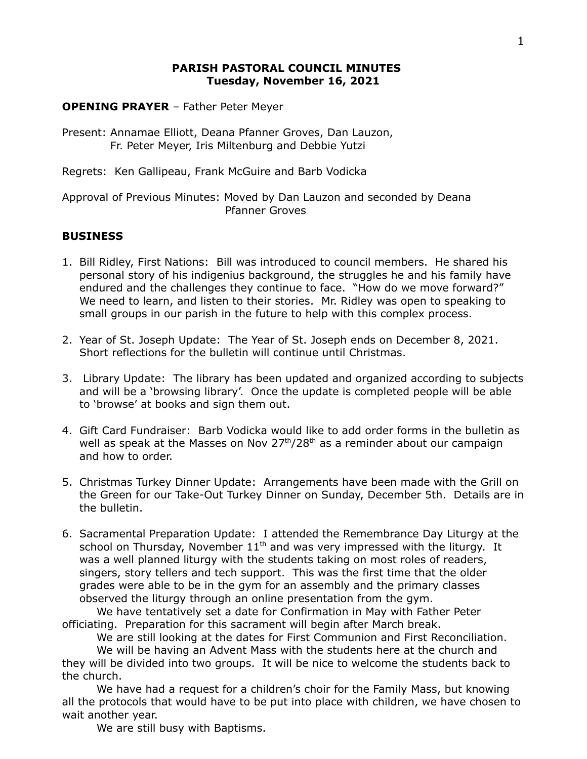## **PARISH PASTORAL COUNCIL MINUTES Tuesday, November 16, 2021**

**OPENING PRAYER** – Father Peter Meyer

Present: Annamae Elliott, Deana Pfanner Groves, Dan Lauzon, Fr. Peter Meyer, Iris Miltenburg and Debbie Yutzi

Regrets: Ken Gallipeau, Frank McGuire and Barb Vodicka

Approval of Previous Minutes: Moved by Dan Lauzon and seconded by Deana Pfanner Groves

# **BUSINESS**

- 1. Bill Ridley, First Nations: Bill was introduced to council members. He shared his personal story of his indigenius background, the struggles he and his family have endured and the challenges they continue to face. "How do we move forward?" We need to learn, and listen to their stories. Mr. Ridley was open to speaking to small groups in our parish in the future to help with this complex process.
- 2. Year of St. Joseph Update: The Year of St. Joseph ends on December 8, 2021. Short reflections for the bulletin will continue until Christmas.
- 3. Library Update: The library has been updated and organized according to subjects and will be a 'browsing library'. Once the update is completed people will be able to 'browse' at books and sign them out.
- 4. Gift Card Fundraiser: Barb Vodicka would like to add order forms in the bulletin as well as speak at the Masses on Nov  $27<sup>th</sup>/28<sup>th</sup>$  as a reminder about our campaign and how to order.
- 5. Christmas Turkey Dinner Update: Arrangements have been made with the Grill on the Green for our Take-Out Turkey Dinner on Sunday, December 5th. Details are in the bulletin.
- 6. Sacramental Preparation Update: I attended the Remembrance Day Liturgy at the school on Thursday, November  $11<sup>th</sup>$  and was very impressed with the liturgy. It was a well planned liturgy with the students taking on most roles of readers, singers, story tellers and tech support. This was the first time that the older grades were able to be in the gym for an assembly and the primary classes observed the liturgy through an online presentation from the gym.

We have tentatively set a date for Confirmation in May with Father Peter officiating. Preparation for this sacrament will begin after March break.

We are still looking at the dates for First Communion and First Reconciliation.

We will be having an Advent Mass with the students here at the church and they will be divided into two groups. It will be nice to welcome the students back to the church.

We have had a request for a children's choir for the Family Mass, but knowing all the protocols that would have to be put into place with children, we have chosen to wait another year.

We are still busy with Baptisms.